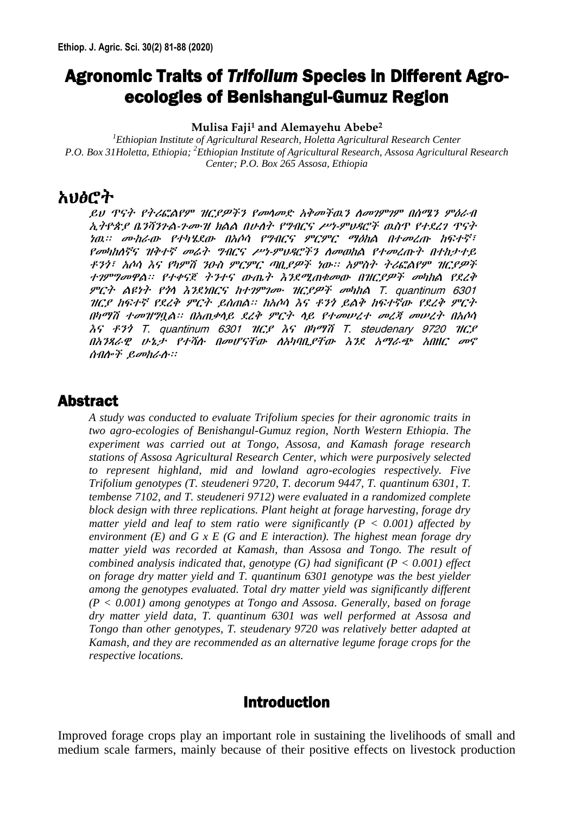# Agronomic Traits of *Trifolium* Species in Different Agroecologies of Benishangul-Gumuz Region

#### **Mulisa Faji<sup>1</sup> and Alemayehu Abebe<sup>2</sup>**

*<sup>1</sup>Ethiopian Institute of Agricultural Research, Holetta Agricultural Research Center P.O. Box 31Holetta, Ethiopia; <sup>2</sup>Ethiopian Institute of Agricultural Research, Assosa Agricultural Research Center; P.O. Box 265 Assosa, Ethiopia*

## አህፅሮት

ይህ ጥናት የትሪፎልየም ዝርያዎችን የመላመድ አቅመችዉን ለመገምገም በሰሜን ምዕራብ ኢትዮጵያ ቤንሻንጉል-ጉሙዝ ክልል በሁለት የግብርና ሥነ-ምህዳሮች ዉስጥ የተደረገ ጥናት ነዉ፡፡ ሙከራው የተካሄደው በአሶሳ የግብርና ምርምር ማዕከል በተመረጡ ከፍተኛ፣ የመካከለኛና ዝቅተኛ መሬት ግብርና ሥነ-ምህዳሮችን ለመወከል የተመረጡት በተከታተይ ቶንጎ፣ አሶሳ እና የካምሽ ንዑስ ምርምር ጣቢያዎች ነው፡፡ አምስት ትሪፎልየም ዝርያዎች ተገምግመዋል፡፡ የተቀናጀ ትንተና ውጤት እንደሚጠቁመው በዝርያዎች መካከል የደረቅ ምርት ልዩነት የጎላ እንደነበርና ከተገምገሙ ዝርያዎች መካከል T. quantinum 6301 ዝርያ ከፍተኛ የደረቅ ምርት ይሰጠል፡፡ ከአሶሳ እና ቶንጎ ይልቅ ከፍተኛው የደረቅ ምርት በካማሽ ተመዝግቧል፡፡ በአጠቃላይ ደረቅ ምርት ላይ የተመሠረተ መረጃ መሠረት በአሶሳ እና ቶንጎ T. quantinum 6301 ዝርያ እና በካማሽ T. steudenary 9720 ዝርያ በአንጻራዊ ሁኔታ የተሻሉ በመሆናቸው ለአካባቢያቸው እንደ አማራጭ አበዘር መኖ ሰብሎች ይመከራሉ፡፡

## Abstract

*A study was conducted to evaluate Trifolium species for their agronomic traits in two agro-ecologies of Benishangul-Gumuz region, North Western Ethiopia. The experiment was carried out at Tongo, Assosa, and Kamash forage research stations of Assosa Agricultural Research Center, which were purposively selected to represent highland, mid and lowland agro-ecologies respectively. Five Trifolium genotypes (T. steudeneri 9720, T. decorum 9447, T. quantinum 6301, T. tembense 7102, and T. steudeneri 9712) were evaluated in a randomized complete block design with three replications. Plant height at forage harvesting, forage dry matter yield and leaf to stem ratio were significantly (P < 0.001) affected by environment (E) and G x E (G and E interaction). The highest mean forage dry matter yield was recorded at Kamash, than Assosa and Tongo. The result of combined analysis indicated that, genotype (G) had significant (P < 0.001) effect on forage dry matter yield and T. quantinum 6301 genotype was the best yielder among the genotypes evaluated. Total dry matter yield was significantly different (P < 0.001) among genotypes at Tongo and Assosa. Generally, based on forage dry matter yield data, T. quantinum 6301 was well performed at Assosa and Tongo than other genotypes, T. steudenary 9720 was relatively better adapted at Kamash, and they are recommended as an alternative legume forage crops for the respective locations.*

## Introduction

Improved forage crops play an important role in sustaining the livelihoods of small and medium scale farmers, mainly because of their positive effects on livestock production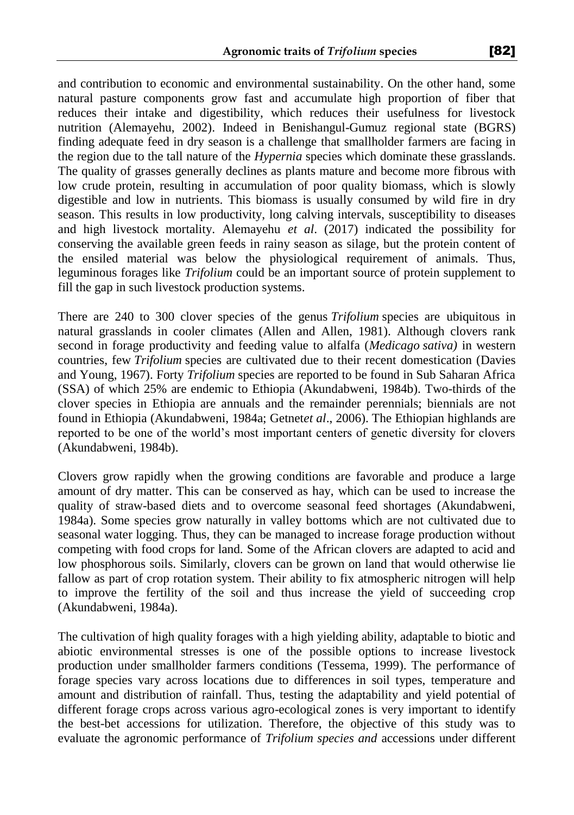and contribution to economic and environmental sustainability. On the other hand, some natural pasture components grow fast and accumulate high proportion of fiber that reduces their intake and digestibility, which reduces their usefulness for livestock nutrition (Alemayehu, 2002). Indeed in Benishangul-Gumuz regional state (BGRS) finding adequate feed in dry season is a challenge that smallholder farmers are facing in the region due to the tall nature of the *Hypernia* species which dominate these grasslands. The quality of grasses generally declines as plants mature and become more fibrous with low crude protein, resulting in accumulation of poor quality biomass, which is slowly digestible and low in nutrients. This biomass is usually consumed by wild fire in dry season. This results in low productivity, long calving intervals, susceptibility to diseases and high livestock mortality. Alemayehu *et al*. (2017) indicated the possibility for conserving the available green feeds in rainy season as silage, but the protein content of the ensiled material was below the physiological requirement of animals. Thus, leguminous forages like *Trifolium* could be an important source of protein supplement to fill the gap in such livestock production systems.

There are 240 to 300 clover species of the genus *Trifolium* species are ubiquitous in natural grasslands in cooler climates (Allen and Allen, 1981). Although clovers rank second in forage productivity and feeding value to alfalfa (*Medicago sativa)* in western countries, few *Trifolium* species are cultivated due to their recent domestication (Davies and Young, 1967). Forty *Trifolium* species are reported to be found in Sub Saharan Africa (SSA) of which 25% are endemic to Ethiopia (Akundabweni, 1984b). Two-thirds of the clover species in Ethiopia are annuals and the remainder perennials; biennials are not found in Ethiopia (Akundabweni, 1984a; Getnet*et al*., 2006). The Ethiopian highlands are reported to be one of the world's most important centers of genetic diversity for clovers (Akundabweni, 1984b).

Clovers grow rapidly when the growing conditions are favorable and produce a large amount of dry matter. This can be conserved as hay, which can be used to increase the quality of straw-based diets and to overcome seasonal feed shortages (Akundabweni, 1984a). Some species grow naturally in valley bottoms which are not cultivated due to seasonal water logging. Thus, they can be managed to increase forage production without competing with food crops for land. Some of the African clovers are adapted to acid and low phosphorous soils. Similarly, clovers can be grown on land that would otherwise lie fallow as part of crop rotation system. Their ability to fix atmospheric nitrogen will help to improve the fertility of the soil and thus increase the yield of succeeding crop (Akundabweni, 1984a).

The cultivation of high quality forages with a high yielding ability, adaptable to biotic and abiotic environmental stresses is one of the possible options to increase livestock production under smallholder farmers conditions (Tessema, 1999). The performance of forage species vary across locations due to differences in soil types, temperature and amount and distribution of rainfall. Thus, testing the adaptability and yield potential of different forage crops across various agro-ecological zones is very important to identify the best-bet accessions for utilization. Therefore, the objective of this study was to evaluate the agronomic performance of *Trifolium species and* accessions under different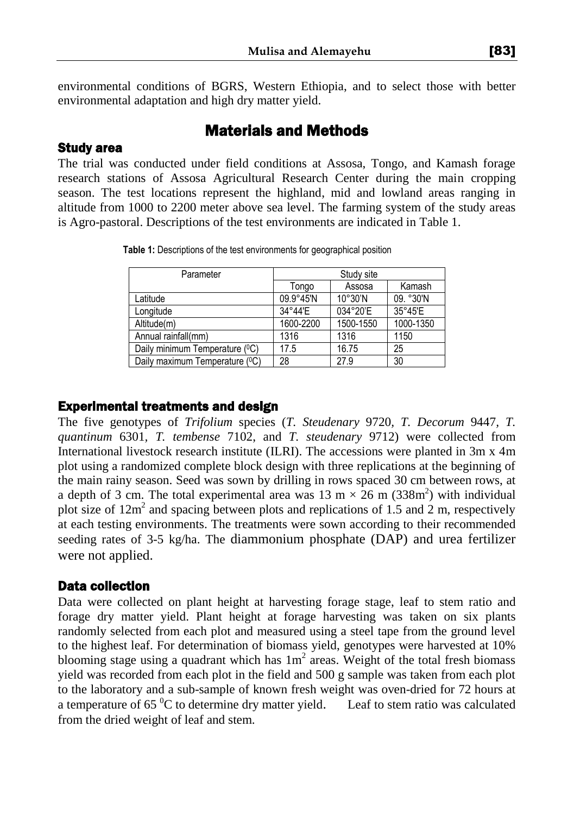environmental conditions of BGRS, Western Ethiopia, and to select those with better environmental adaptation and high dry matter yield.

## Materials and Methods

### Study area

The trial was conducted under field conditions at Assosa, Tongo, and Kamash forage research stations of Assosa Agricultural Research Center during the main cropping season. The test locations represent the highland, mid and lowland areas ranging in altitude from 1000 to 2200 meter above sea level. The farming system of the study areas is Agro-pastoral. Descriptions of the test environments are indicated in Table 1.

| Parameter                      | Study site |                   |           |
|--------------------------------|------------|-------------------|-----------|
|                                | Tongo      | Assosa            | Kamash    |
| Latitude                       | 09.9°45'N  | $10^{\circ}30'$ N | 09. °30'N |
| Longitude                      | 34°44'E    | 034°20'E          | 35°45'E   |
| Altitude(m)                    | 1600-2200  | 1500-1550         | 1000-1350 |
| Annual rainfall(mm)            | 1316       | 1316              | 1150      |
| Daily minimum Temperature (°C) | 17.5       | 16.75             | 25        |
| Daily maximum Temperature (°C) | 28         | 27.9              | 30        |

**Table 1:** Descriptions of the test environments for geographical position

#### Experimental treatments and design

The five genotypes of *Trifolium* species (*T. Steudenary* 9720*, T. Decorum* 9447*, T. quantinum* 6301*, T. tembense* 7102, and *T. steudenary* 9712) were collected from International livestock research institute (ILRI). The accessions were planted in 3m x 4m plot using a randomized complete block design with three replications at the beginning of the main rainy season. Seed was sown by drilling in rows spaced 30 cm between rows, at a depth of 3 cm. The total experimental area was  $13 \text{ m} \times 26 \text{ m}$  (338m<sup>2</sup>) with individual plot size of 12m 2 and spacing between plots and replications of 1.5 and 2 m, respectively at each testing environments. The treatments were sown according to their recommended seeding rates of 3-5 kg/ha. The diammonium phosphate (DAP) and urea fertilizer were not applied.

#### Data collection

Data were collected on plant height at harvesting forage stage, leaf to stem ratio and forage dry matter yield. Plant height at forage harvesting was taken on six plants randomly selected from each plot and measured using a steel tape from the ground level to the highest leaf. For determination of biomass yield, genotypes were harvested at 10% blooming stage using a quadrant which has  $1m^2$  areas. Weight of the total fresh biomass yield was recorded from each plot in the field and 500 g sample was taken from each plot to the laboratory and a sub-sample of known fresh weight was oven-dried for 72 hours at a temperature of  $65<sup>0</sup>C$  to determine dry matter yield. Leaf to stem ratio was calculated from the dried weight of leaf and stem.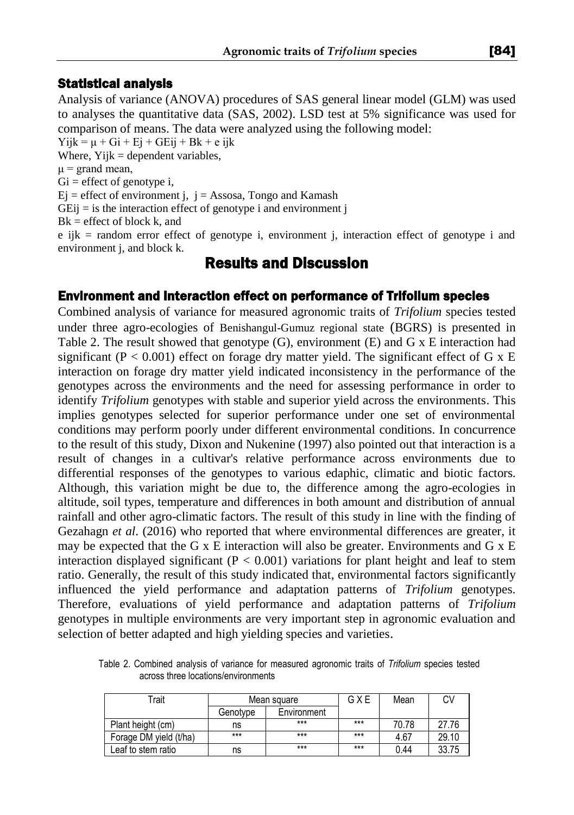#### Statistical analysis

Analysis of variance (ANOVA) procedures of SAS general linear model (GLM) was used to analyses the quantitative data (SAS, 2002). LSD test at 5% significance was used for comparison of means. The data were analyzed using the following model:

 $Yijk = \mu + Gi + Ej + GEij + Bk + eijk$ 

Where,  $Yijk = dependent variables$ ,

 $\mu$  = grand mean,

 $Gi = effect of genotype i,$ 

 $Ej$  = effect of environment j,  $j =$  Assosa, Tongo and Kamash

 $GEij = is$  the interaction effect of genotype i and environment j

 $Bk =$  effect of block k, and

e ijk = random error effect of genotype i, environment j, interaction effect of genotype i and environment j, and block k.

## Results and Discussion

#### Environment and interaction effect on performance of Trifolium species

Combined analysis of variance for measured agronomic traits of *Trifolium* species tested under three agro-ecologies of Benishangul-Gumuz regional state (BGRS) is presented in Table 2. The result showed that genotype  $(G)$ , environment  $(E)$  and  $G \times E$  interaction had significant ( $P < 0.001$ ) effect on forage dry matter yield. The significant effect of G x E interaction on forage dry matter yield indicated inconsistency in the performance of the genotypes across the environments and the need for assessing performance in order to identify *Trifolium* genotypes with stable and superior yield across the environments. This implies genotypes selected for superior performance under one set of environmental conditions may perform poorly under different environmental conditions. In concurrence to the result of this study, Dixon and Nukenine (1997) also pointed out that interaction is a result of changes in a cultivar's relative performance across environments due to differential responses of the genotypes to various edaphic, climatic and biotic factors. Although, this variation might be due to, the difference among the agro-ecologies in altitude, soil types, temperature and differences in both amount and distribution of annual rainfall and other agro-climatic factors. The result of this study in line with the finding of Gezahagn *et al*. (2016) who reported that where environmental differences are greater, it may be expected that the G x E interaction will also be greater. Environments and G x E interaction displayed significant ( $P < 0.001$ ) variations for plant height and leaf to stem ratio. Generally, the result of this study indicated that, environmental factors significantly influenced the yield performance and adaptation patterns of *Trifolium* genotypes. Therefore, evaluations of yield performance and adaptation patterns of *Trifolium* genotypes in multiple environments are very important step in agronomic evaluation and selection of better adapted and high yielding species and varieties.

Table 2. Combined analysis of variance for measured agronomic traits of *Trifolium* species tested across three locations/environments

| Trait                  | Mean square |             | GXE   | Mean  | C٧    |
|------------------------|-------------|-------------|-------|-------|-------|
|                        | Genotvpe    | Environment |       |       |       |
| Plant height (cm)      | ns          | $***$       | $***$ | 70.78 | 27.76 |
| Forage DM yield (t/ha) | ***         | $***$       | $***$ | 4.67  | 29.10 |
| Leaf to stem ratio     | ns          | ***         | $***$ | 0.44  | 33.75 |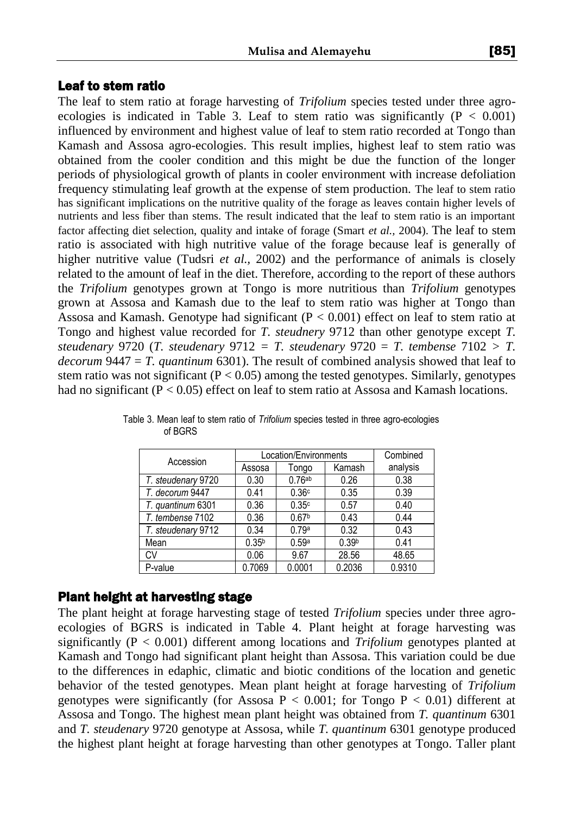The leaf to stem ratio at forage harvesting of *Trifolium* species tested under three agroecologies is indicated in Table 3. Leaf to stem ratio was significantly  $(P < 0.001)$ influenced by environment and highest value of leaf to stem ratio recorded at Tongo than Kamash and Assosa agro-ecologies. This result implies, highest leaf to stem ratio was obtained from the cooler condition and this might be due the function of the longer periods of physiological growth of plants in cooler environment with increase defoliation frequency stimulating leaf growth at the expense of stem production. The leaf to stem ratio has significant implications on the nutritive quality of the forage as leaves contain higher levels of nutrients and less fiber than stems. The result indicated that the leaf to stem ratio is an important factor affecting diet selection, quality and intake of forage (Smart *et al.,* 2004). The leaf to stem ratio is associated with high nutritive value of the forage because leaf is generally of higher nutritive value (Tudsri *et al.*, 2002) and the performance of animals is closely related to the amount of leaf in the diet. Therefore, according to the report of these authors the *Trifolium* genotypes grown at Tongo is more nutritious than *Trifolium* genotypes grown at Assosa and Kamash due to the leaf to stem ratio was higher at Tongo than Assosa and Kamash. Genotype had significant  $(P < 0.001)$  effect on leaf to stem ratio at Tongo and highest value recorded for *T. steudnery* 9712 than other genotype except *T. steudenary* 9720 (*T. steudenary* 9712 *= T. steudenary* 9720 = *T. tembense* 7102 *> T. decorum* 9447 = *T. quantinum* 6301). The result of combined analysis showed that leaf to stem ratio was not significant ( $P < 0.05$ ) among the tested genotypes. Similarly, genotypes had no significant  $(P < 0.05)$  effect on leaf to stem ratio at Assosa and Kamash locations.

| Accession          | Location/Environments |                   |                   | Combined |
|--------------------|-----------------------|-------------------|-------------------|----------|
|                    | Assosa                | Tongo             | Kamash            | analysis |
| T. steudenary 9720 | 0.30                  | 0.76ab            | 0.26              | 0.38     |
| T. decorum 9447    | 0.41                  | 0.36c             | 0.35              | 0.39     |
| T. quantinum 6301  | 0.36                  | 0.35c             | 0.57              | 0.40     |
| T. tembense 7102   | 0.36                  | 0.67 <sup>b</sup> | 0.43              | 0.44     |
| T. steudenary 9712 | 0.34                  | 0.79a             | 0.32              | 0.43     |
| Mean               | 0.35 <sup>b</sup>     | 0.59a             | 0.39 <sup>b</sup> | 0.41     |
| CV                 | 0.06                  | 9.67              | 28.56             | 48.65    |
| P-value            | 0.7069                | 0.0001            | 0.2036            | 0.9310   |

Table 3. Mean leaf to stem ratio of *Trifolium* species tested in three agro-ecologies of BGRS

## Plant height at harvesting stage

The plant height at forage harvesting stage of tested *Trifolium* species under three agroecologies of BGRS is indicated in Table 4. Plant height at forage harvesting was significantly (P < 0.001) different among locations and *Trifolium* genotypes planted at Kamash and Tongo had significant plant height than Assosa. This variation could be due to the differences in edaphic, climatic and biotic conditions of the location and genetic behavior of the tested genotypes. Mean plant height at forage harvesting of *Trifolium* genotypes were significantly (for Assosa  $P < 0.001$ ; for Tongo  $P < 0.01$ ) different at Assosa and Tongo. The highest mean plant height was obtained from *T. quantinum* 6301 and *T. steudenary* 9720 genotype at Assosa, while *T. quantinum* 6301 genotype produced the highest plant height at forage harvesting than other genotypes at Tongo. Taller plant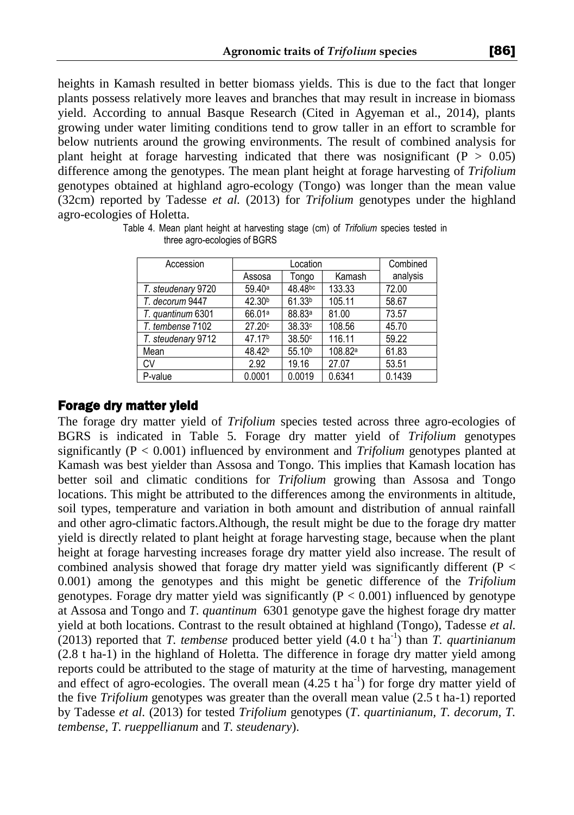heights in Kamash resulted in better biomass yields. This is due to the fact that longer plants possess relatively more leaves and branches that may result in increase in biomass yield. According to annual Basque Research (Cited in Agyeman et al., 2014), plants growing under water limiting conditions tend to grow taller in an effort to scramble for below nutrients around the growing environments. The result of combined analysis for plant height at forage harvesting indicated that there was nosignificant ( $P > 0.05$ ) difference among the genotypes. The mean plant height at forage harvesting of *Trifolium* genotypes obtained at highland agro-ecology (Tongo) was longer than the mean value (32cm) reported by Tadesse *et al.* (2013) for *Trifolium* genotypes under the highland agro-ecologies of Holetta.

| Accession          | Location           |                    |                     | Combined |
|--------------------|--------------------|--------------------|---------------------|----------|
|                    | Assosa             | Tongo              | Kamash              | analysis |
| T. steudenary 9720 | 59.40a             | 48.48bc            | 133.33              | 72.00    |
| T. decorum 9447    | 42.30 <sup>b</sup> | 61.33 <sup>b</sup> | 105.11              | 58.67    |
| T. quantinum 6301  | 66.01 <sup>a</sup> | 88.83ª             | 81.00               | 73.57    |
| T. tembense 7102   | 27.20c             | 38.33c             | 108.56              | 45.70    |
| T. steudenary 9712 | 47.17 <sup>b</sup> | 38.50c             | 116.11              | 59.22    |
| Mean               | 48.42 <sup>b</sup> | 55.10 <sup>b</sup> | 108.82 <sup>a</sup> | 61.83    |
| CV                 | 2.92               | 19.16              | 27.07               | 53.51    |
| P-value            | 0.0001             | 0.0019             | 0.6341              | 0.1439   |

Table 4. Mean plant height at harvesting stage (cm) of *Trifolium* species tested in three agro-ecologies of BGRS

#### Forage dry matter yield

The forage dry matter yield of *Trifolium* species tested across three agro-ecologies of BGRS is indicated in Table 5. Forage dry matter yield of *Trifolium* genotypes significantly (P < 0.001) influenced by environment and *Trifolium* genotypes planted at Kamash was best yielder than Assosa and Tongo. This implies that Kamash location has better soil and climatic conditions for *Trifolium* growing than Assosa and Tongo locations. This might be attributed to the differences among the environments in altitude, soil types, temperature and variation in both amount and distribution of annual rainfall and other agro-climatic factors.Although, the result might be due to the forage dry matter yield is directly related to plant height at forage harvesting stage, because when the plant height at forage harvesting increases forage dry matter yield also increase. The result of combined analysis showed that forage dry matter yield was significantly different (P < 0.001) among the genotypes and this might be genetic difference of the *Trifolium* genotypes. Forage dry matter yield was significantly  $(P < 0.001)$  influenced by genotype at Assosa and Tongo and *T. quantinum* 6301 genotype gave the highest forage dry matter yield at both locations. Contrast to the result obtained at highland (Tongo), Tadesse *et al.* (2013) reported that *T. tembense* produced better yield (4.0 t ha-1 ) than *T. quartinianum* (2.8 t ha-1) in the highland of Holetta. The difference in forage dry matter yield among reports could be attributed to the stage of maturity at the time of harvesting, management and effect of agro-ecologies. The overall mean  $(4.25 \text{ t ha}^{-1})$  for forge dry matter yield of the five *Trifolium* genotypes was greater than the overall mean value (2.5 t ha-1) reported by Tadesse *et al.* (2013) for tested *Trifolium* genotypes (*T*. *quartinianum, T. decorum, T. tembense, T. rueppellianum* and *T. steudenary*).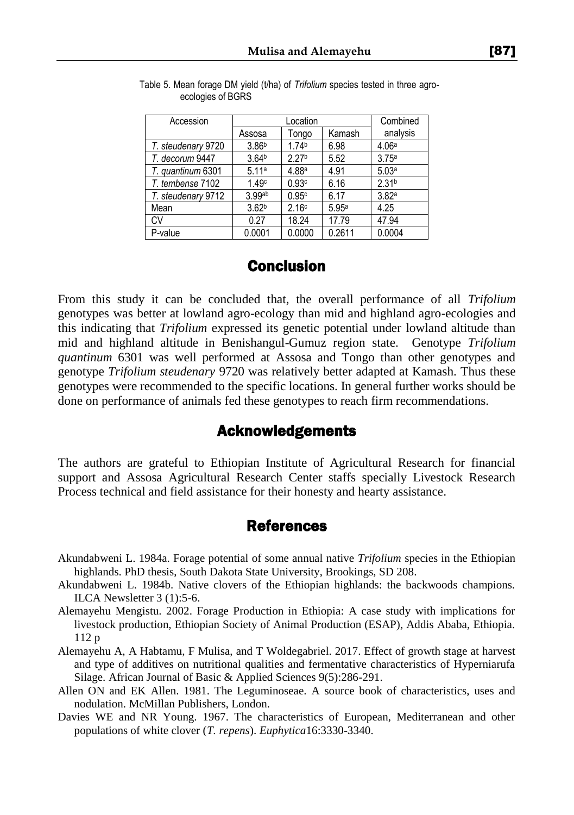| Accession          | Location          |                   |        | Combined          |
|--------------------|-------------------|-------------------|--------|-------------------|
|                    | Assosa            | Tongo             | Kamash | analysis          |
| T. steudenary 9720 | 3.86 <sup>b</sup> | 1.74 <sup>b</sup> | 6.98   | 4.06a             |
| T. decorum 9447    | 3.64 <sup>b</sup> | 2.27 <sup>b</sup> | 5.52   | 3.75a             |
| T. quantinum 6301  | 5.11a             | 4.88a             | 4.91   | 5.03a             |
| T. tembense 7102   | 1.49c             | 0.93c             | 6.16   | 2.31 <sup>b</sup> |
| T. steudenary 9712 | 3.99ab            | 0.95c             | 6.17   | 3.82a             |
| Mean               | 3.62 <sup>b</sup> | 2.16c             | 5.95a  | 4.25              |
| CV                 | 0.27              | 18.24             | 17.79  | 47.94             |
| P-value            | 0.0001            | 0.0000            | 0.2611 | 0.0004            |

Table 5. Mean forage DM yield (t/ha) of *Trifolium* species tested in three agroecologies of BGRS

## Conclusion

From this study it can be concluded that, the overall performance of all *Trifolium* genotypes was better at lowland agro-ecology than mid and highland agro-ecologies and this indicating that *Trifolium* expressed its genetic potential under lowland altitude than mid and highland altitude in Benishangul-Gumuz region state. Genotype *Trifolium quantinum* 6301 was well performed at Assosa and Tongo than other genotypes and genotype *Trifolium steudenary* 9720 was relatively better adapted at Kamash. Thus these genotypes were recommended to the specific locations. In general further works should be done on performance of animals fed these genotypes to reach firm recommendations.

## Acknowledgements

The authors are grateful to Ethiopian Institute of Agricultural Research for financial support and Assosa Agricultural Research Center staffs specially Livestock Research Process technical and field assistance for their honesty and hearty assistance.

## References

- Akundabweni L. 1984a. Forage potential of some annual native *Trifolium* species in the Ethiopian highlands. PhD thesis, South Dakota State University, Brookings, SD 208.
- Akundabweni L. 1984b. Native clovers of the Ethiopian highlands: the backwoods champions. ILCA Newsletter 3 (1):5-6.
- Alemayehu Mengistu. 2002. Forage Production in Ethiopia: A case study with implications for livestock production, Ethiopian Society of Animal Production (ESAP), Addis Ababa, Ethiopia. 112 p
- Alemayehu A, A Habtamu, F Mulisa, and T Woldegabriel. 2017. Effect of growth stage at harvest and type of additives on nutritional qualities and fermentative characteristics of Hyperniarufa Silage. African Journal of Basic & Applied Sciences 9(5):286-291.
- Allen ON and EK Allen. 1981. The Leguminoseae. A source book of characteristics, uses and nodulation. McMillan Publishers, London.
- Davies WE and NR Young. 1967. The characteristics of European, Mediterranean and other populations of white clover (*T. repens*). *Euphytica*16:3330-3340.